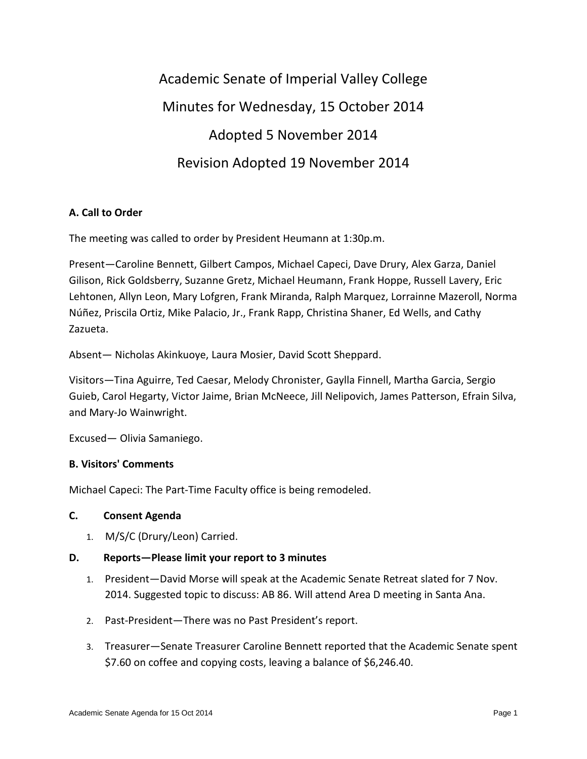Academic Senate of Imperial Valley College Minutes for Wednesday, 15 October 2014 Adopted 5 November 2014 Revision Adopted 19 November 2014

## **A. Call to Order**

The meeting was called to order by President Heumann at 1:30p.m.

Present—Caroline Bennett, Gilbert Campos, Michael Capeci, Dave Drury, Alex Garza, Daniel Gilison, Rick Goldsberry, Suzanne Gretz, Michael Heumann, Frank Hoppe, Russell Lavery, Eric Lehtonen, Allyn Leon, Mary Lofgren, Frank Miranda, Ralph Marquez, Lorrainne Mazeroll, Norma Núñez, Priscila Ortiz, Mike Palacio, Jr., Frank Rapp, Christina Shaner, Ed Wells, and Cathy Zazueta.

Absent— Nicholas Akinkuoye, Laura Mosier, David Scott Sheppard.

Visitors—Tina Aguirre, Ted Caesar, Melody Chronister, Gaylla Finnell, Martha Garcia, Sergio Guieb, Carol Hegarty, Victor Jaime, Brian McNeece, Jill Nelipovich, James Patterson, Efrain Silva, and Mary-Jo Wainwright.

Excused— Olivia Samaniego.

## **B. Visitors' Comments**

Michael Capeci: The Part-Time Faculty office is being remodeled.

#### **C. Consent Agenda**

1. M/S/C (Drury/Leon) Carried.

## **D. Reports—Please limit your report to 3 minutes**

- 1. President—David Morse will speak at the Academic Senate Retreat slated for 7 Nov. 2014. Suggested topic to discuss: AB 86. Will attend Area D meeting in Santa Ana.
- 2. Past-President—There was no Past President's report.
- 3. Treasurer—Senate Treasurer Caroline Bennett reported that the Academic Senate spent \$7.60 on coffee and copying costs, leaving a balance of \$6,246.40.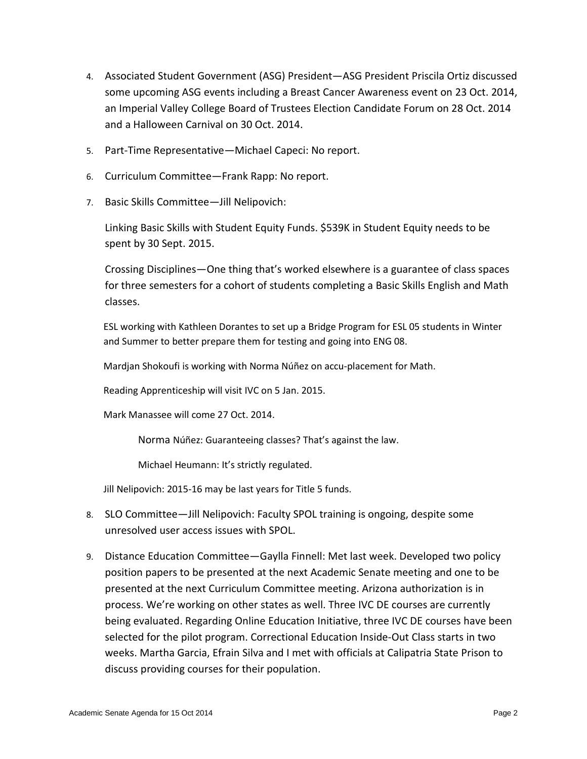- 4. Associated Student Government (ASG) President—ASG President Priscila Ortiz discussed some upcoming ASG events including a Breast Cancer Awareness event on 23 Oct. 2014, an Imperial Valley College Board of Trustees Election Candidate Forum on 28 Oct. 2014 and a Halloween Carnival on 30 Oct. 2014.
- 5. Part-Time Representative—Michael Capeci: No report.
- 6. Curriculum Committee—Frank Rapp: No report.
- 7. Basic Skills Committee—Jill Nelipovich:

Linking Basic Skills with Student Equity Funds. \$539K in Student Equity needs to be spent by 30 Sept. 2015.

Crossing Disciplines—One thing that's worked elsewhere is a guarantee of class spaces for three semesters for a cohort of students completing a Basic Skills English and Math classes.

ESL working with Kathleen Dorantes to set up a Bridge Program for ESL 05 students in Winter and Summer to better prepare them for testing and going into ENG 08.

Mardjan Shokoufi is working with Norma Núñez on accu-placement for Math.

Reading Apprenticeship will visit IVC on 5 Jan. 2015.

Mark Manassee will come 27 Oct. 2014.

Norma Núñez: Guaranteeing classes? That's against the law.

Michael Heumann: It's strictly regulated.

Jill Nelipovich: 2015-16 may be last years for Title 5 funds.

- 8. SLO Committee—Jill Nelipovich: Faculty SPOL training is ongoing, despite some unresolved user access issues with SPOL.
- 9. Distance Education Committee—Gaylla Finnell: Met last week. Developed two policy position papers to be presented at the next Academic Senate meeting and one to be presented at the next Curriculum Committee meeting. Arizona authorization is in process. We're working on other states as well. Three IVC DE courses are currently being evaluated. Regarding Online Education Initiative, three IVC DE courses have been selected for the pilot program. Correctional Education Inside-Out Class starts in two weeks. Martha Garcia, Efrain Silva and I met with officials at Calipatria State Prison to discuss providing courses for their population.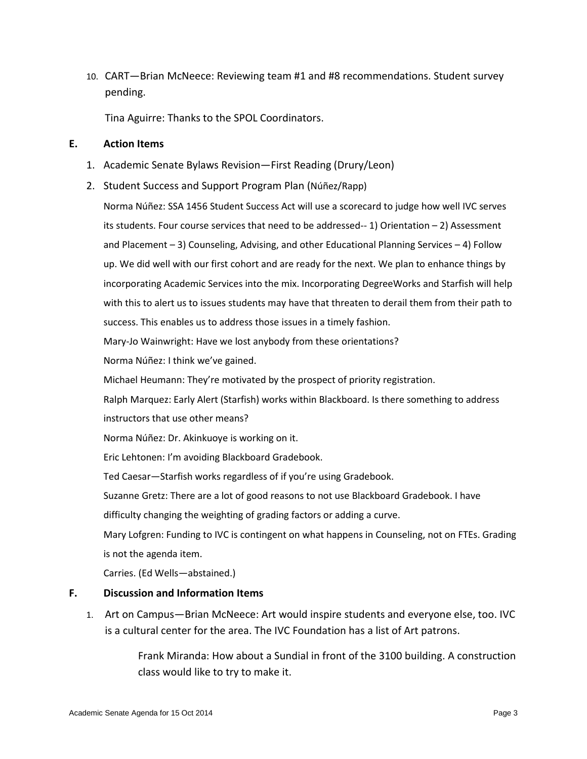10. CART—Brian McNeece: Reviewing team #1 and #8 recommendations. Student survey pending.

Tina Aguirre: Thanks to the SPOL Coordinators.

#### **E. Action Items**

- 1. Academic Senate Bylaws Revision—First Reading (Drury/Leon)
- 2. Student Success and Support Program Plan (Núñez/Rapp)

Norma Núñez: SSA 1456 Student Success Act will use a scorecard to judge how well IVC serves its students. Four course services that need to be addressed-- 1) Orientation – 2) Assessment and Placement – 3) Counseling, Advising, and other Educational Planning Services – 4) Follow up. We did well with our first cohort and are ready for the next. We plan to enhance things by incorporating Academic Services into the mix. Incorporating DegreeWorks and Starfish will help with this to alert us to issues students may have that threaten to derail them from their path to success. This enables us to address those issues in a timely fashion.

Mary-Jo Wainwright: Have we lost anybody from these orientations?

Norma Núñez: I think we've gained.

Michael Heumann: They're motivated by the prospect of priority registration.

Ralph Marquez: Early Alert (Starfish) works within Blackboard. Is there something to address

instructors that use other means?

Norma Núñez: Dr. Akinkuoye is working on it.

Eric Lehtonen: I'm avoiding Blackboard Gradebook.

Ted Caesar—Starfish works regardless of if you're using Gradebook.

Suzanne Gretz: There are a lot of good reasons to not use Blackboard Gradebook. I have

difficulty changing the weighting of grading factors or adding a curve.

Mary Lofgren: Funding to IVC is contingent on what happens in Counseling, not on FTEs. Grading is not the agenda item.

Carries. (Ed Wells—abstained.)

## **F. Discussion and Information Items**

1. Art on Campus—Brian McNeece: Art would inspire students and everyone else, too. IVC is a cultural center for the area. The IVC Foundation has a list of Art patrons.

> Frank Miranda: How about a Sundial in front of the 3100 building. A construction class would like to try to make it.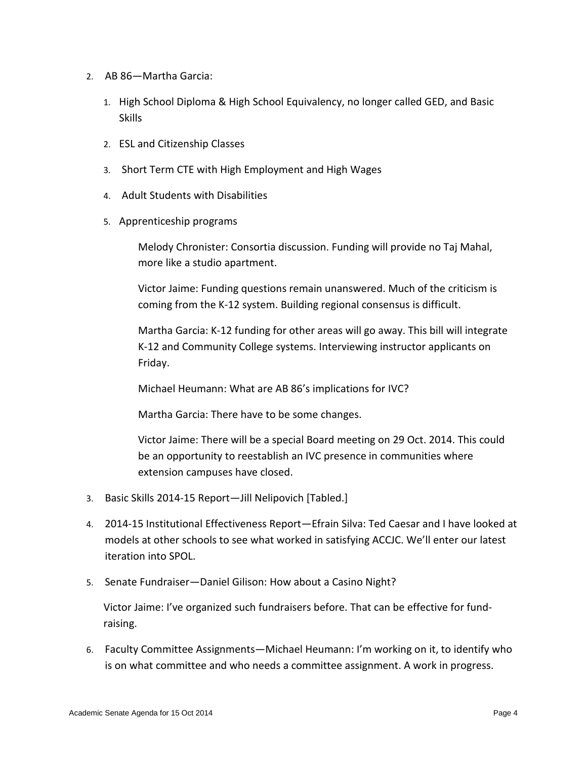- 2. AB 86—Martha Garcia:
	- 1. High School Diploma & High School Equivalency, no longer called GED, and Basic Skills
	- 2. ESL and Citizenship Classes
	- 3. Short Term CTE with High Employment and High Wages
	- 4. Adult Students with Disabilities
	- 5. Apprenticeship programs

Melody Chronister: Consortia discussion. Funding will provide no Taj Mahal, more like a studio apartment.

Victor Jaime: Funding questions remain unanswered. Much of the criticism is coming from the K-12 system. Building regional consensus is difficult.

Martha Garcia: K-12 funding for other areas will go away. This bill will integrate K-12 and Community College systems. Interviewing instructor applicants on Friday.

Michael Heumann: What are AB 86's implications for IVC?

Martha Garcia: There have to be some changes.

Victor Jaime: There will be a special Board meeting on 29 Oct. 2014. This could be an opportunity to reestablish an IVC presence in communities where extension campuses have closed.

- 3. Basic Skills 2014-15 Report—Jill Nelipovich [Tabled.]
- 4. 2014-15 Institutional Effectiveness Report—Efrain Silva: Ted Caesar and I have looked at models at other schools to see what worked in satisfying ACCJC. We'll enter our latest iteration into SPOL.
- 5. Senate Fundraiser—Daniel Gilison: How about a Casino Night?

Victor Jaime: I've organized such fundraisers before. That can be effective for fundraising.

6. Faculty Committee Assignments—Michael Heumann: I'm working on it, to identify who is on what committee and who needs a committee assignment. A work in progress.